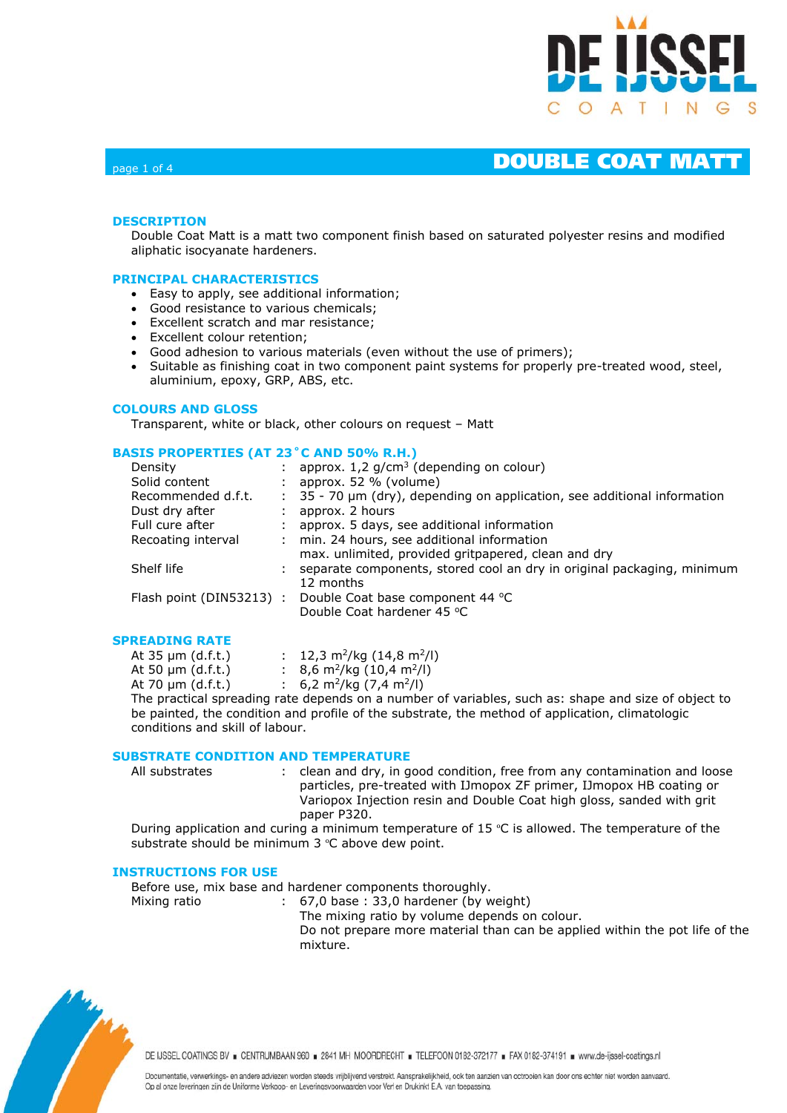

## page 1 of 4 **DOUBLE COAT MATT**

### **DESCRIPTION**

Double Coat Matt is a matt two component finish based on saturated polyester resins and modified aliphatic isocyanate hardeners.

### **PRINCIPAL CHARACTERISTICS**

- Easy to apply, see additional information;
- Good resistance to various chemicals;
- Excellent scratch and mar resistance;
- Excellent colour retention;
- Good adhesion to various materials (even without the use of primers);
- Suitable as finishing coat in two component paint systems for properly pre-treated wood, steel, aluminium, epoxy, GRP, ABS, etc.

### **COLOURS AND GLOSS**

Transparent, white or black, other colours on request – Matt

### **BASIS PROPERTIES (AT 23˚C AND 50% R.H.)**

| Density                  | : approx. $1,2$ g/cm <sup>3</sup> (depending on colour)                  |
|--------------------------|--------------------------------------------------------------------------|
| Solid content            | approx. 52 % (volume)                                                    |
| Recommended d.f.t.       | : 35 - 70 µm (dry), depending on application, see additional information |
| Dust dry after           | approx. 2 hours                                                          |
| Full cure after          | approx. 5 days, see additional information                               |
| Recoating interval       | min. 24 hours, see additional information                                |
|                          | max. unlimited, provided gritpapered, clean and dry                      |
| Shelf life               | separate components, stored cool an dry in original packaging, minimum   |
|                          | 12 months                                                                |
| Flash point (DIN53213) : | Double Coat base component 44 °C                                         |
|                          | Double Coat hardener 45 °C                                               |
|                          |                                                                          |

### **SPREADING RATE**

| At $35 \mu m$ (d.f.t.) | : 12,3 m <sup>2</sup> /kg (14,8 m <sup>2</sup> /l)  |
|------------------------|-----------------------------------------------------|
| At 50 $\mu$ m (d.f.t.) | : 8,6 m <sup>2</sup> /kg (10,4 m <sup>2</sup> /l)   |
| At 70 $\mu$ m (d.f.t.) | : 6,2 m <sup>2</sup> /kg (7,4 m <sup>2</sup> /l)    |
|                        | The practical spreading rate depends on a number of |

of variables, such as: shape and size of object to be painted, the condition and profile of the substrate, the method of application, climatologic conditions and skill of labour.

### **SUBSTRATE CONDITION AND TEMPERATURE**

| All substrates | clean and dry, in good condition, free from any contamination and loose                           |
|----------------|---------------------------------------------------------------------------------------------------|
|                | particles, pre-treated with IJmopox ZF primer, IJmopox HB coating or                              |
|                | Variopox Injection resin and Double Coat high gloss, sanded with grit                             |
|                | paper P320.                                                                                       |
|                | During analization and quring a minimum tomporature of $1E_0C$ is allowed. The tomporature of the |

During application and curing a minimum temperature of 15  $\degree$ C is allowed. The temperature of the substrate should be minimum 3 °C above dew point.

### **INSTRUCTIONS FOR USE**

Before use, mix base and hardener components thoroughly.

Mixing ratio : 67,0 base : 33,0 hardener (by weight) The mixing ratio by volume depends on colour. Do not prepare more material than can be applied within the pot life of the mixture.

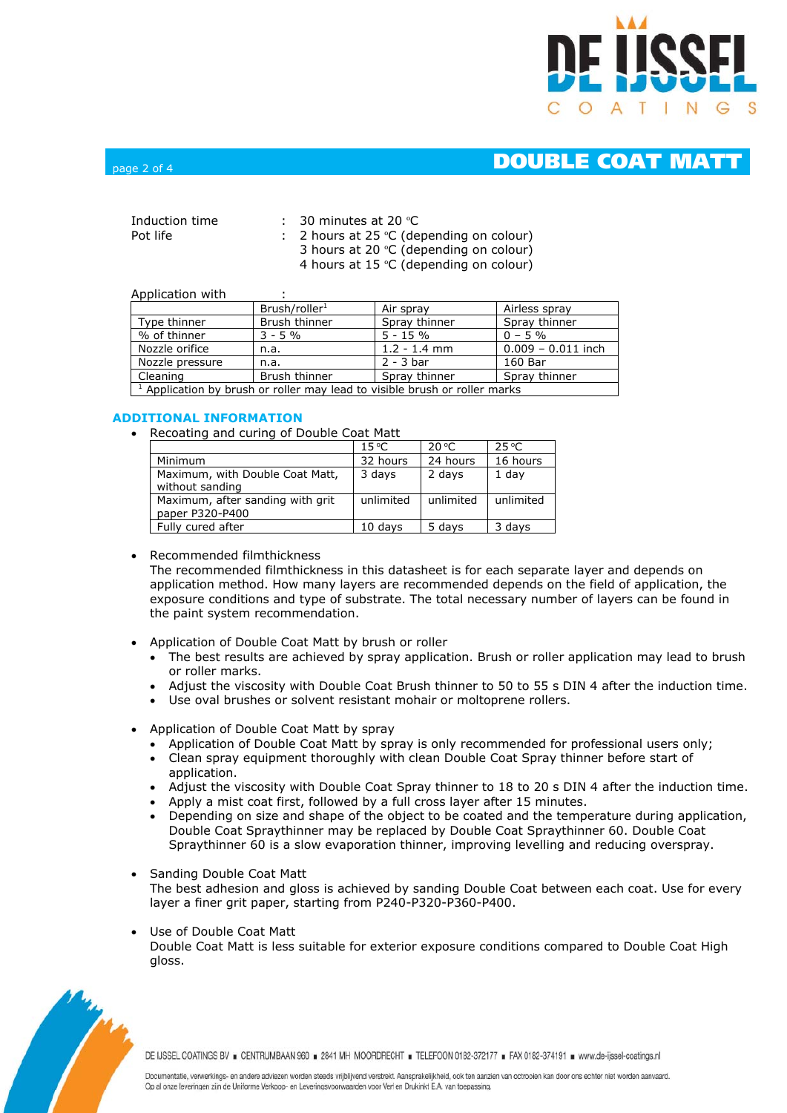

## $p_{\text{space 2 of 4}}$  and  $p_{\text{space 2 of 4}}$  and  $p_{\text{space 2 of 4}}$

| Induction time | : 30 minutes at 20 $^{\circ}$ C                 |
|----------------|-------------------------------------------------|
| Pot life       | : 2 hours at 25 $°C$ (depending on colour)      |
|                | 3 hours at 20 °C (depending on colour)          |
|                | 4 hours at 15 $\degree$ C (depending on colour) |

### Application with

| Application with                                                                      |                           |                |                      |  |
|---------------------------------------------------------------------------------------|---------------------------|----------------|----------------------|--|
|                                                                                       | Brush/roller <sup>1</sup> | Air spray      | Airless spray        |  |
| Type thinner                                                                          | Brush thinner             | Spray thinner  | Spray thinner        |  |
| % of thinner                                                                          | $3 - 5%$                  | $5 - 15%$      | $0 - 5\%$            |  |
| Nozzle orifice                                                                        | n.a.                      | $1.2 - 1.4$ mm | $0.009 - 0.011$ inch |  |
| Nozzle pressure                                                                       | n.a.                      | $2 - 3$ bar    | 160 Bar              |  |
| Cleaning                                                                              | Brush thinner             | Spray thinner  | Spray thinner        |  |
| <sup>1</sup> Application by brush or roller may lead to visible brush or roller marks |                           |                |                      |  |

### **ADDITIONAL INFORMATION**

Recoating and curing of Double Coat Matt

|                                                     | $15^{\circ}$ C | $20^{\circ}$ C | $25^{\circ}$ C |
|-----------------------------------------------------|----------------|----------------|----------------|
| Minimum                                             | 32 hours       | 24 hours       | 16 hours       |
| Maximum, with Double Coat Matt,<br>without sanding  | 3 days         | 2 days         | 1 day          |
| Maximum, after sanding with grit<br>paper P320-P400 | unlimited      | unlimited      | unlimited      |
| Fully cured after                                   | 10 days        | 5 days         | 3 davs         |

### • Recommended filmthickness

The recommended filmthickness in this datasheet is for each separate layer and depends on application method. How many layers are recommended depends on the field of application, the exposure conditions and type of substrate. The total necessary number of layers can be found in the paint system recommendation.

- Application of Double Coat Matt by brush or roller
	- The best results are achieved by spray application. Brush or roller application may lead to brush or roller marks.
	- Adjust the viscosity with Double Coat Brush thinner to 50 to 55 s DIN 4 after the induction time.
	- Use oval brushes or solvent resistant mohair or moltoprene rollers.
- Application of Double Coat Matt by spray
	- Application of Double Coat Matt by spray is only recommended for professional users only;
	- Clean spray equipment thoroughly with clean Double Coat Spray thinner before start of application.
	- Adjust the viscosity with Double Coat Spray thinner to 18 to 20 s DIN 4 after the induction time.
	- Apply a mist coat first, followed by a full cross layer after 15 minutes.
	- Depending on size and shape of the object to be coated and the temperature during application, Double Coat Spraythinner may be replaced by Double Coat Spraythinner 60. Double Coat Spraythinner 60 is a slow evaporation thinner, improving levelling and reducing overspray.
- Sanding Double Coat Matt The best adhesion and gloss is achieved by sanding Double Coat between each coat. Use for every layer a finer grit paper, starting from P240-P320-P360-P400.
- Use of Double Coat Matt Double Coat Matt is less suitable for exterior exposure conditions compared to Double Coat High gloss.



DE IJSSEL COATINGS BV E CENTRUMBAAN 960 = 2841 MH MOORDRECHT = TELEFOON 0182-372177 = FAX 0182-374191 = www.de-ijssel-coatings.nl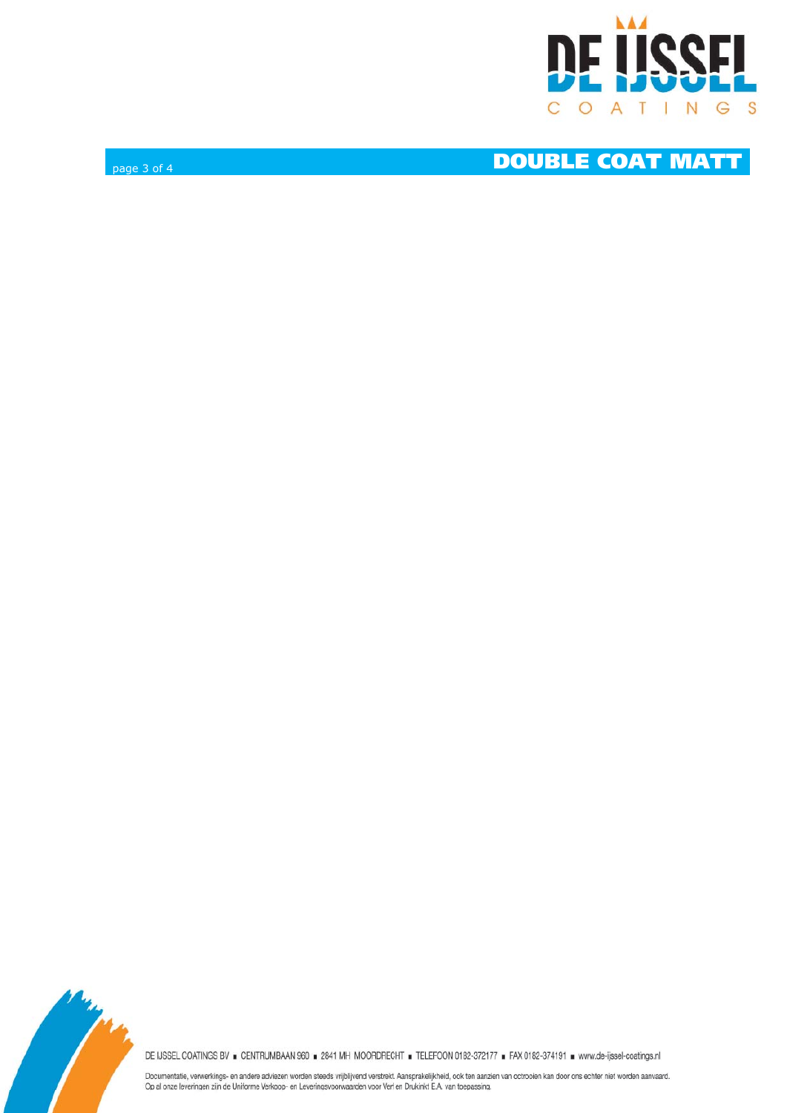

page 3 of

DOUBLE COAT MATT



DE IJSSEL COATINGS BV = CENTRUMBAAN 960 = 2841 MH MOORDRECHT = TELEFOON 0182-372177 = FAX 0182-374191 = www.de-ijssel-coatings.nl